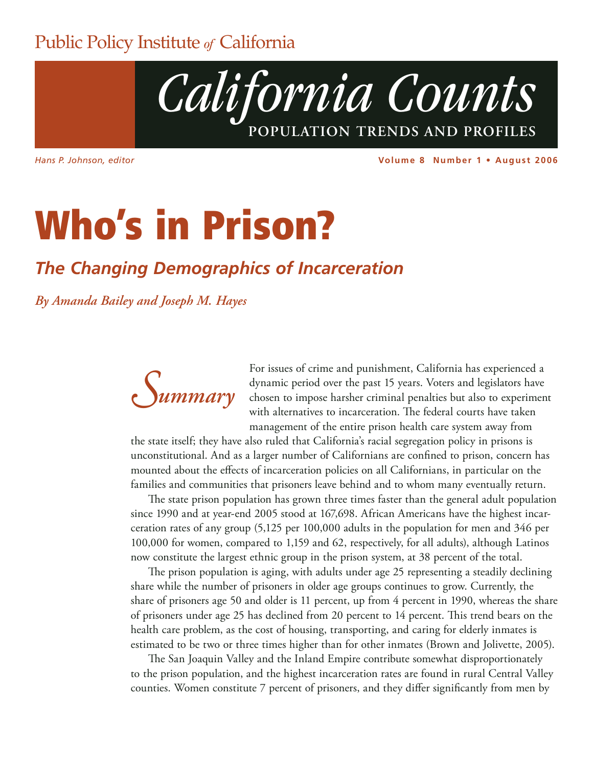### Public Policy Institute *of* California



*Hans P. Johnson, editor*

**Volume 8 Number 1 • August 2006**

# **Who's in Prison?**

### *The Changing Demographics of Incarceration*

*By Amanda Bailey and Joseph M. Hayes* 



For issues of crime and punishment, California has experienced a dynamic period over the past 15 years. Voters and legislators have chosen to impose harsher criminal penalties but also to experiment with alternatives to incarceration. The federal courts have taken management of the entire prison health care system away from

the state itself; they have also ruled that California's racial segregation policy in prisons is unconstitutional. And as a larger number of Californians are confined to prison, concern has mounted about the effects of incarceration policies on all Californians, in particular on the families and communities that prisoners leave behind and to whom many eventually return.

The state prison population has grown three times faster than the general adult population since 1990 and at year-end 2005 stood at 167,698. African Americans have the highest incarceration rates of any group (5,125 per 100,000 adults in the population for men and 346 per 100,000 for women, compared to 1,159 and 62, respectively, for all adults), although Latinos now constitute the largest ethnic group in the prison system, at 38 percent of the total.

The prison population is aging, with adults under age 25 representing a steadily declining share while the number of prisoners in older age groups continues to grow. Currently, the share of prisoners age 50 and older is 11 percent, up from 4 percent in 1990, whereas the share of prisoners under age 25 has declined from 20 percent to 14 percent. This trend bears on the health care problem, as the cost of housing, transporting, and caring for elderly inmates is estimated to be two or three times higher than for other inmates (Brown and Jolivette, 2005).

The San Joaquin Valley and the Inland Empire contribute somewhat disproportionately to the prison population, and the highest incarceration rates are found in rural Central Valley counties. Women constitute 7 percent of prisoners, and they differ significantly from men by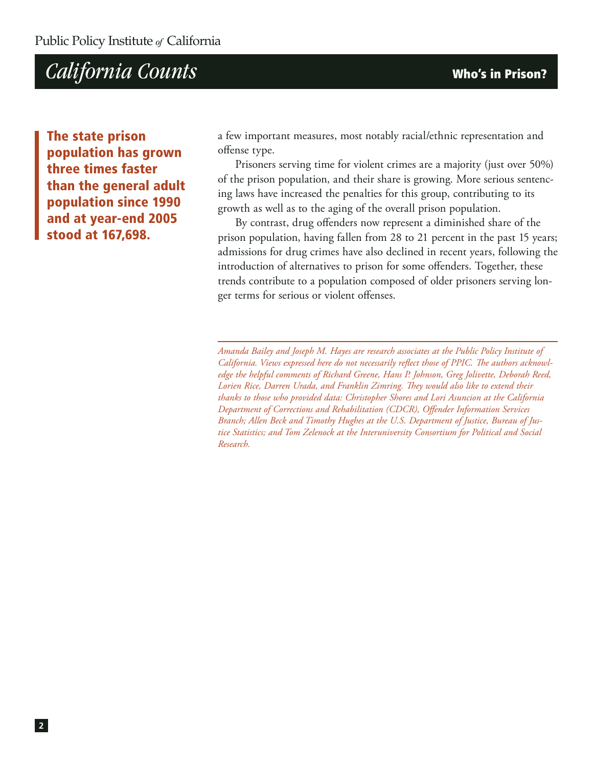**The state prison population has grown three times faster than the general adult population since 1990 and at year-end 2005 stood at 167,698.** 

a few important measures, most notably racial/ethnic representation and offense type.

Prisoners serving time for violent crimes are a majority (just over 50%) of the prison population, and their share is growing. More serious sentencing laws have increased the penalties for this group, contributing to its growth as well as to the aging of the overall prison population.

By contrast, drug offenders now represent a diminished share of the prison population, having fallen from 28 to 21 percent in the past 15 years; admissions for drug crimes have also declined in recent years, following the introduction of alternatives to prison for some offenders. Together, these trends contribute to a population composed of older prisoners serving longer terms for serious or violent offenses.

*Amanda Bailey and Joseph M. Hayes are research associates at the Public Policy Institute of California. Views expressed here do not necessarily reflect those of PPIC. The authors acknowledge the helpful comments of Richard Greene, Hans P. Johnson, Greg Jolivette, Deborah Reed, Lorien Rice, Darren Urada, and Franklin Zimring. They would also like to extend their thanks to those who provided data: Christopher Shores and Lori Asuncion at the California Department of Corrections and Rehabilitation (CDCR), Offender Information Services Branch; Allen Beck and Timothy Hughes at the U.S. Department of Justice, Bureau of Justice Statistics; and Tom Zelenock at the Interuniversity Consortium for Political and Social Research.*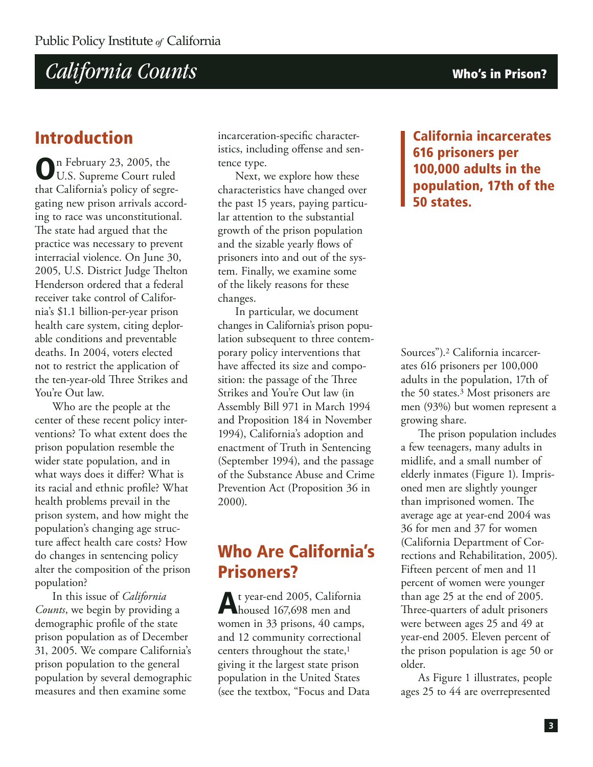### **Introduction**

**O**n February 23, 2005, the U.S. Supreme Court ruled that California's policy of segregating new prison arrivals according to race was unconstitutional. The state had argued that the practice was necessary to prevent interracial violence. On June 30, 2005, U.S. District Judge Thelton Henderson ordered that a federal receiver take control of California's \$1.1 billion-per-year prison health care system, citing deplorable conditions and preventable deaths. In 2004, voters elected not to restrict the application of the ten-year-old Three Strikes and You're Out law.

Who are the people at the center of these recent policy interventions? To what extent does the prison population resemble the wider state population, and in what ways does it differ? What is its racial and ethnic profile? What health problems prevail in the prison system, and how might the population's changing age structure affect health care costs? How do changes in sentencing policy alter the composition of the prison population?

In this issue of *California Counts*, we begin by providing a demographic profile of the state prison population as of December 31, 2005. We compare California's prison population to the general population by several demographic measures and then examine some

incarceration-specific characteristics, including offense and sentence type.

Next, we explore how these characteristics have changed over the past 15 years, paying particular attention to the substantial growth of the prison population and the sizable yearly flows of prisoners into and out of the system. Finally, we examine some of the likely reasons for these changes.

In particular, we document changes in California's prison population subsequent to three contemporary policy interventions that have affected its size and composition: the passage of the Three Strikes and You're Out law (in Assembly Bill 971 in March 1994 and Proposition 184 in November 1994), California's adoption and enactment of Truth in Sentencing (September 1994), and the passage of the Substance Abuse and Crime Prevention Act (Proposition 36 in 2000).

### **Who Are California's Prisoners?**

**A**t year-end 2005, California housed 167,698 men and women in 33 prisons, 40 camps, and 12 community correctional centers throughout the state,<sup>1</sup> giving it the largest state prison population in the United States (see the textbox, "Focus and Data **California incarcerates 616 prisoners per 100,000 adults in the population, 17th of the 50 states.**

Sources").2 California incarcerates 616 prisoners per 100,000 adults in the population, 17th of the 50 states.3 Most prisoners are men (93%) but women represent a growing share.

The prison population includes a few teenagers, many adults in midlife, and a small number of elderly inmates (Figure 1). Imprisoned men are slightly younger than imprisoned women. The average age at year-end 2004 was 36 for men and 37 for women (California Department of Corrections and Rehabilitation, 2005). Fifteen percent of men and 11 percent of women were younger than age 25 at the end of 2005. Three-quarters of adult prisoners were between ages 25 and 49 at year-end 2005. Eleven percent of the prison population is age 50 or older.

As Figure 1 illustrates, people ages 25 to 44 are overrepresented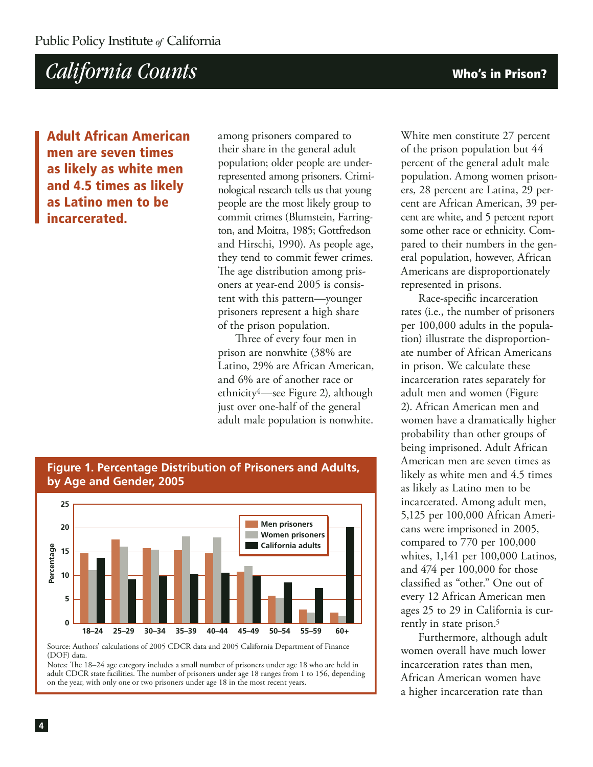**Adult African American men are seven times as likely as white men and 4.5 times as likely as Latino men to be incarcerated.**

among prisoners compared to their share in the general adult population; older people are underrepresented among prisoners. Criminological research tells us that young people are the most likely group to commit crimes (Blumstein, Farrington, and Moitra, 1985; Gottfredson and Hirschi, 1990). As people age, they tend to commit fewer crimes. The age distribution among prisoners at year-end 2005 is consistent with this pattern—younger prisoners represent a high share of the prison population.

Three of every four men in prison are nonwhite (38% are Latino, 29% are African American, and 6% are of another race or ethnicity4—see Figure 2), although just over one-half of the general adult male population is nonwhite.

White men constitute 27 percent of the prison population but 44 percent of the general adult male population. Among women prisoners, 28 percent are Latina, 29 percent are African American, 39 percent are white, and 5 percent report some other race or ethnicity. Compared to their numbers in the general population, however, African Americans are disproportionately represented in prisons.

Race-specific incarceration rates (i.e., the number of prisoners per 100,000 adults in the population) illustrate the disproportionate number of African Americans in prison. We calculate these incarceration rates separately for adult men and women (Figure 2). African American men and women have a dramatically higher probability than other groups of being imprisoned. Adult African American men are seven times as likely as white men and 4.5 times as likely as Latino men to be incarcerated. Among adult men, 5,125 per 100,000 African Americans were imprisoned in 2005, compared to 770 per 100,000 whites, 1,141 per 100,000 Latinos, and 474 per 100,000 for those classified as "other." One out of every 12 African American men ages 25 to 29 in California is currently in state prison.5

Furthermore, although adult women overall have much lower incarceration rates than men, African American women have a higher incarceration rate than

#### **Figure 1. Percentage Distribution of Prisoners and Adults, by Age and Gender, 2005**



Source: Authors' calculations of 2005 CDCR data and 2005 California Department of Finance (DOF) data.

Notes: The 18-24 age category includes a small number of prisoners under age 18 who are held in adult CDCR state facilities. The number of prisoners under age 18 ranges from 1 to 156, depending on the year, with only one or two prisoners under age 18 in the most recent years.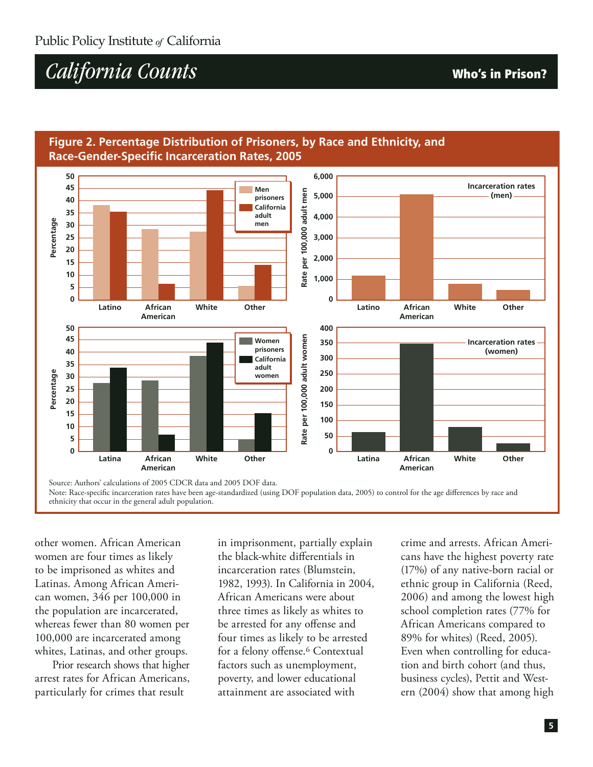

#### **Figure 2. Percentage Distribution of Prisoners, by Race and Ethnicity, and Race-Gender-Specific Incarceration Rates, 2005**

Note: Race-specific incarceration rates have been age-standardized (using DOF population data, 2005) to control for the age differences by race and ethnicity that occur in the general adult population.

other women. African American women are four times as likely to be imprisoned as whites and Latinas. Among African American women, 346 per 100,000 in the population are incarcerated, whereas fewer than 80 women per 100,000 are incarcerated among whites, Latinas, and other groups.

Prior research shows that higher arrest rates for African Americans, particularly for crimes that result

in imprisonment, partially explain the black-white differentials in incarceration rates (Blumstein, 1982, 1993). In California in 2004, African Americans were about three times as likely as whites to be arrested for any offense and four times as likely to be arrested for a felony offense.<sup>6</sup> Contextual factors such as unemployment, poverty, and lower educational attainment are associated with

crime and arrests. African Americans have the highest poverty rate (17%) of any native-born racial or ethnic group in California (Reed, 2006) and among the lowest high school completion rates (77% for African Americans compared to 89% for whites) (Reed, 2005). Even when controlling for education and birth cohort (and thus, business cycles), Pettit and Western (2004) show that among high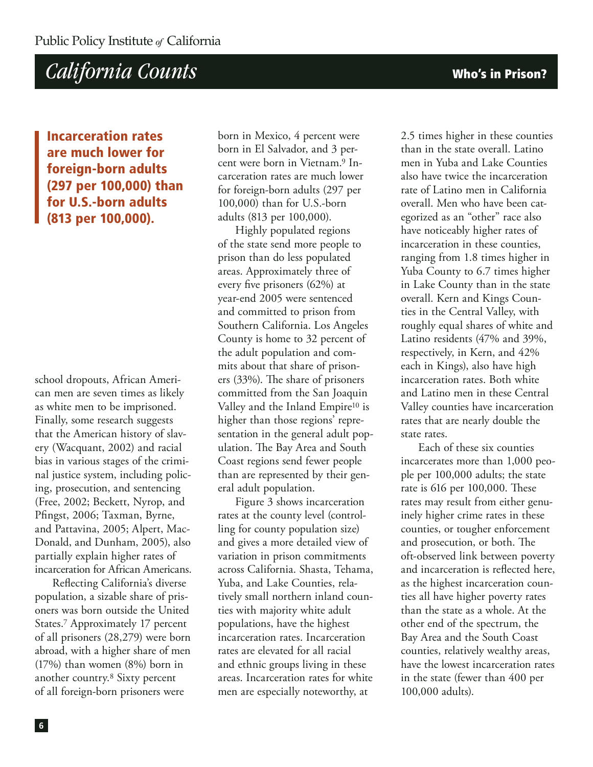**Incarceration rates are much lower for foreign-born adults (297 per 100,000) than for U.S.-born adults (813 per 100,000).** 

school dropouts, African American men are seven times as likely as white men to be imprisoned. Finally, some research suggests that the American history of slavery (Wacquant, 2002) and racial bias in various stages of the criminal justice system, including policing, prosecution, and sentencing (Free, 2002; Beckett, Nyrop, and Pfingst, 2006; Taxman, Byrne, and Pattavina, 2005; Alpert, Mac-Donald, and Dunham, 2005), also partially explain higher rates of incarceration for African Americans.

Reflecting California's diverse population, a sizable share of prisoners was born outside the United States.7 Approximately 17 percent of all prisoners (28,279) were born abroad, with a higher share of men (17%) than women (8%) born in another country.8 Sixty percent of all foreign-born prisoners were

born in Mexico, 4 percent were born in El Salvador, and 3 percent were born in Vietnam.9 Incarceration rates are much lower for foreign-born adults (297 per 100,000) than for U.S.-born adults (813 per 100,000).

Highly populated regions of the state send more people to prison than do less populated areas. Approximately three of every five prisoners (62%) at year-end 2005 were sentenced and committed to prison from Southern California. Los Angeles County is home to 32 percent of the adult population and commits about that share of prisoners (33%). The share of prisoners committed from the San Joaquin Valley and the Inland Empire10 is higher than those regions' representation in the general adult population. The Bay Area and South Coast regions send fewer people than are represented by their general adult population.

Figure 3 shows incarceration rates at the county level (controlling for county population size) and gives a more detailed view of variation in prison commitments across California. Shasta, Tehama, Yuba, and Lake Counties, relatively small northern inland counties with majority white adult populations, have the highest incarceration rates. Incarceration rates are elevated for all racial and ethnic groups living in these areas. Incarceration rates for white men are especially noteworthy, at

2.5 times higher in these counties than in the state overall. Latino men in Yuba and Lake Counties also have twice the incarceration rate of Latino men in California overall. Men who have been categorized as an "other" race also have noticeably higher rates of incarceration in these counties, ranging from 1.8 times higher in Yuba County to 6.7 times higher in Lake County than in the state overall. Kern and Kings Counties in the Central Valley, with roughly equal shares of white and Latino residents (47% and 39%, respectively, in Kern, and 42% each in Kings), also have high incarceration rates. Both white and Latino men in these Central Valley counties have incarceration rates that are nearly double the state rates.

Each of these six counties incarcerates more than 1,000 people per 100,000 adults; the state rate is 616 per 100,000. These rates may result from either genuinely higher crime rates in these counties, or tougher enforcement and prosecution, or both. The oft-observed link between poverty and incarceration is reflected here, as the highest incarceration counties all have higher poverty rates than the state as a whole. At the other end of the spectrum, the Bay Area and the South Coast counties, relatively wealthy areas, have the lowest incarceration rates in the state (fewer than 400 per 100,000 adults).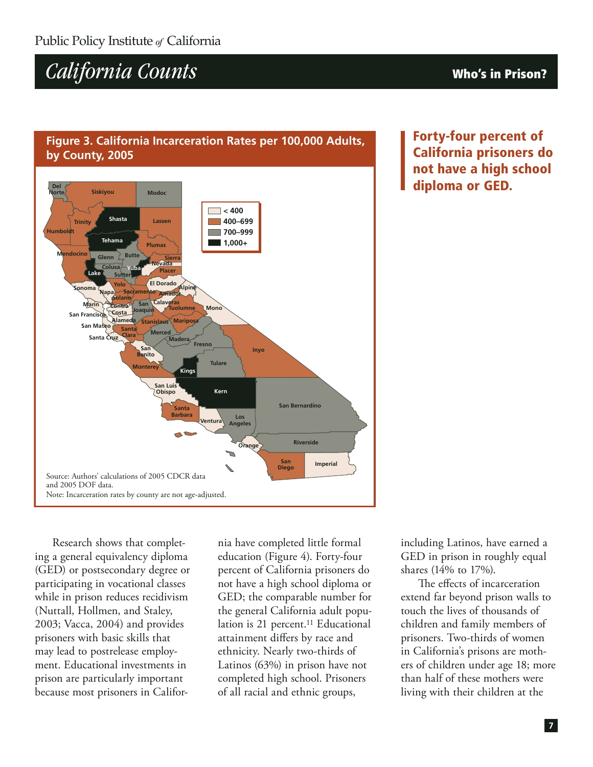#### **Figure 3. California Incarceration Rates per 100,000 Adults, by County, 2005**



**Forty-four percent of California prisoners do not have a high school diploma or GED.**

Research shows that completing a general equivalency diploma (GED) or postsecondary degree or participating in vocational classes while in prison reduces recidivism (Nuttall, Hollmen, and Staley, 2003; Vacca, 2004) and provides prisoners with basic skills that may lead to postrelease employment. Educational investments in prison are particularly important because most prisoners in Califor-

nia have completed little formal education (Figure 4). Forty-four percent of California prisoners do not have a high school diploma or GED; the comparable number for the general California adult population is 21 percent.<sup>11</sup> Educational attainment differs by race and ethnicity. Nearly two-thirds of Latinos (63%) in prison have not completed high school. Prisoners of all racial and ethnic groups,

including Latinos, have earned a GED in prison in roughly equal shares (14% to 17%).

The effects of incarceration extend far beyond prison walls to touch the lives of thousands of children and family members of prisoners. Two-thirds of women in California's prisons are mothers of children under age 18; more than half of these mothers were living with their children at the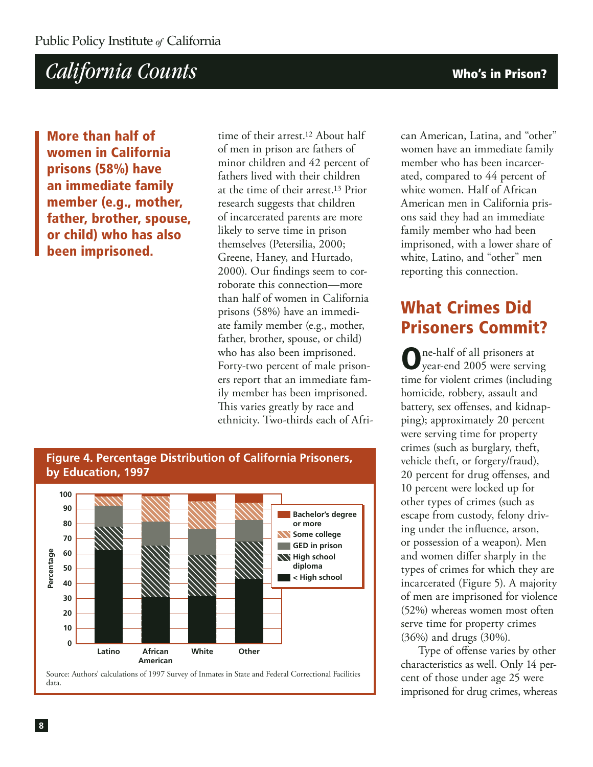**More than half of women in California prisons (58%) have an immediate family member (e.g., mother, father, brother, spouse, or child) who has also been imprisoned.**

time of their arrest.12 About half of men in prison are fathers of minor children and 42 percent of fathers lived with their children at the time of their arrest.<sup>13</sup> Prior research suggests that children of incarcerated parents are more likely to serve time in prison themselves (Petersilia, 2000; Greene, Haney, and Hurtado, 2000). Our findings seem to corroborate this connection—more than half of women in California prisons (58%) have an immediate family member (e.g., mother, father, brother, spouse, or child) who has also been imprisoned. Forty-two percent of male prisoners report that an immediate family member has been imprisoned. This varies greatly by race and ethnicity. Two-thirds each of Afri-



**Figure 4. Percentage Distribution of California Prisoners,**

data.

can American, Latina, and "other" women have an immediate family member who has been incarcerated, compared to 44 percent of white women. Half of African American men in California prisons said they had an immediate family member who had been imprisoned, with a lower share of white, Latino, and "other" men reporting this connection.

### **What Crimes Did Prisoners Commit?**

**O**ne-half of all prisoners at year-end 2005 were serving time for violent crimes (including homicide, robbery, assault and battery, sex offenses, and kidnapping); approximately 20 percent were serving time for property crimes (such as burglary, theft, vehicle theft, or forgery/fraud), 20 percent for drug offenses, and 10 percent were locked up for other types of crimes (such as escape from custody, felony driving under the influence, arson, or possession of a weapon). Men and women differ sharply in the types of crimes for which they are incarcerated (Figure 5). A majority of men are imprisoned for violence (52%) whereas women most often serve time for property crimes (36%) and drugs (30%).

Type of offense varies by other characteristics as well. Only 14 percent of those under age 25 were imprisoned for drug crimes, whereas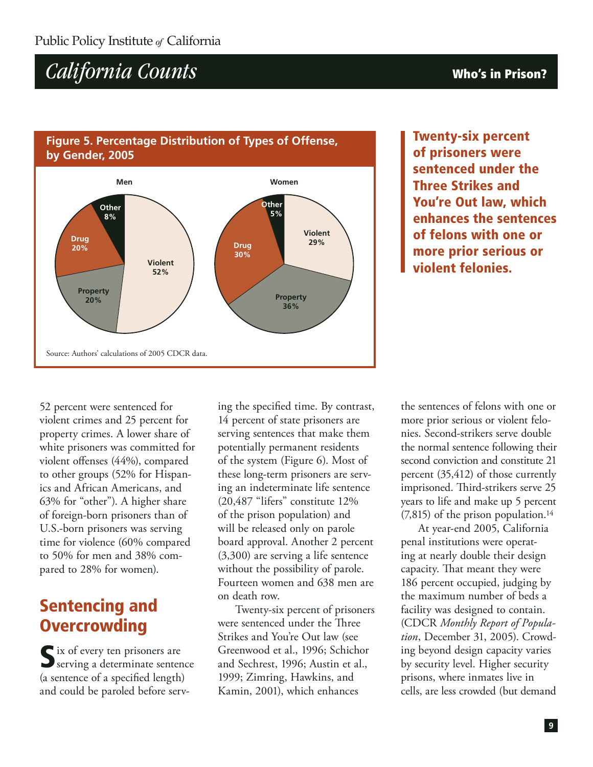#### **Figure 5. Percentage Distribution of Types of Offense, by Gender, 2005**



**Twenty-six percent of prisoners were sentenced under the Three Strikes and You're Out law, which enhances the sentences of felons with one or more prior serious or violent felonies.**

52 percent were sentenced for violent crimes and 25 percent for property crimes. A lower share of white prisoners was committed for violent offenses (44%), compared to other groups (52% for Hispanics and African Americans, and 63% for "other"). A higher share of foreign-born prisoners than of U.S.-born prisoners was serving time for violence (60% compared to 50% for men and 38% compared to 28% for women).

### **Sentencing and Overcrowding**

**S**ix of every ten prisoners are serving a determinate sentence (a sentence of a specified length) and could be paroled before serving the specified time. By contrast, 14 percent of state prisoners are serving sentences that make them potentially permanent residents of the system (Figure 6). Most of these long-term prisoners are serving an indeterminate life sentence (20,487 "lifers" constitute 12% of the prison population) and will be released only on parole board approval. Another 2 percent (3,300) are serving a life sentence without the possibility of parole. Fourteen women and 638 men are on death row.

Twenty-six percent of prisoners were sentenced under the Three Strikes and You're Out law (see Greenwood et al., 1996; Schichor and Sechrest, 1996; Austin et al., 1999; Zimring, Hawkins, and Kamin, 2001), which enhances

the sentences of felons with one or more prior serious or violent felonies. Second-strikers serve double the normal sentence following their second conviction and constitute 21 percent (35,412) of those currently imprisoned. Third-strikers serve 25 years to life and make up 5 percent  $(7,815)$  of the prison population.<sup>14</sup>

At year-end 2005, California penal institutions were operating at nearly double their design capacity. That meant they were 186 percent occupied, judging by the maximum number of beds a facility was designed to contain. (CDCR *Monthly Report of Population*, December 31, 2005). Crowding beyond design capacity varies by security level. Higher security prisons, where inmates live in cells, are less crowded (but demand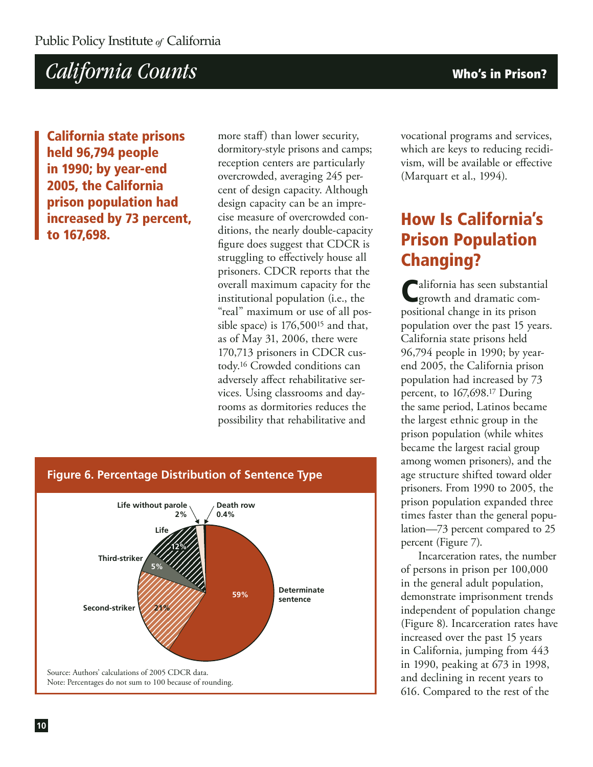**California state prisons held 96,794 people in 1990; by year-end 2005, the California prison population had increased by 73 percent, to 167,698.**

more staff) than lower security, dormitory-style prisons and camps; reception centers are particularly overcrowded, averaging 245 percent of design capacity. Although design capacity can be an imprecise measure of overcrowded conditions, the nearly double-capacity figure does suggest that CDCR is struggling to effectively house all prisoners. CDCR reports that the overall maximum capacity for the institutional population (i.e., the "real" maximum or use of all possible space) is 176,50015 and that, as of May 31, 2006, there were 170,713 prisoners in CDCR custody.16 Crowded conditions can adversely affect rehabilitative services. Using classrooms and dayrooms as dormitories reduces the possibility that rehabilitative and



vocational programs and services, which are keys to reducing recidivism, will be available or effective (Marquart et al., 1994).

### **How Is California's Prison Population Changing?**

**Palifornia has seen substantial** growth and dramatic compositional change in its prison population over the past 15 years. California state prisons held 96,794 people in 1990; by yearend 2005, the California prison population had increased by 73 percent, to 167,698.17 During the same period, Latinos became the largest ethnic group in the prison population (while whites became the largest racial group among women prisoners), and the age structure shifted toward older prisoners. From 1990 to 2005, the prison population expanded three times faster than the general population—73 percent compared to 25 percent (Figure 7).

Incarceration rates, the number of persons in prison per 100,000 in the general adult population, demonstrate imprisonment trends independent of population change (Figure 8). Incarceration rates have increased over the past 15 years in California, jumping from 443 in 1990, peaking at 673 in 1998, and declining in recent years to 616. Compared to the rest of the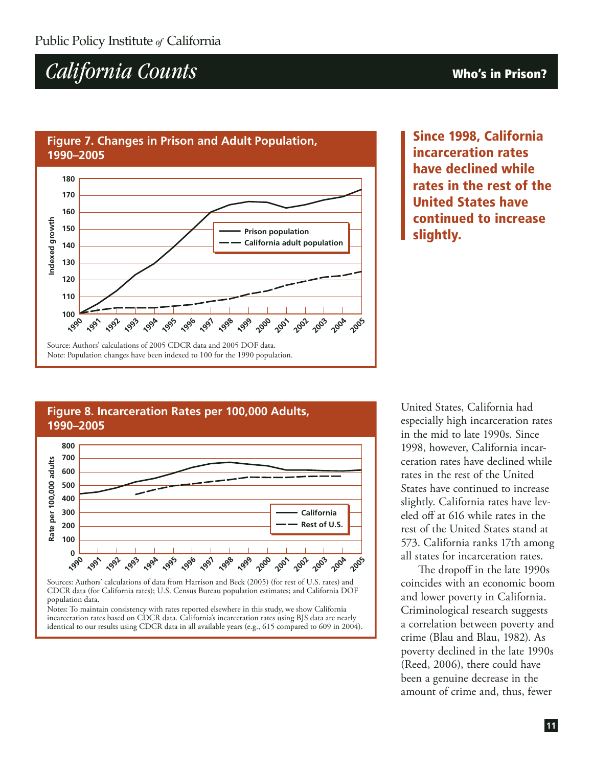#### **Figure 7. Changes in Prison and Adult Population, 1990–2005**



**Since 1998, California incarceration rates have declined while rates in the rest of the United States have continued to increase slightly.**

#### **Rate per 100,000 adults700 600 500 800 Figure 8. Incarceration Rates per 100,000 Adults, 1990–2005 400 300 200 California Rest of U.S.**

**1990 1991 1992 1993 1994 1995 1996 1997 1998 1999 2000 2001 2002 2003 2004 2005** Sources: Authors' calculations of data from Harrison and Beck (2005) (for rest of U.S. rates) and CDCR data (for California rates); U.S. Census Bureau population estimates; and California DOF population data.

**0**

**100**

Notes: To maintain consistency with rates reported elsewhere in this study, we show California incarceration rates based on CDCR data. California's incarceration rates using BJS data are nearly identical to our results using CDCR data in all available years (e.g., 615 compared to 609 in 2004).

United States, California had especially high incarceration rates in the mid to late 1990s. Since 1998, however, California incarceration rates have declined while rates in the rest of the United States have continued to increase slightly. California rates have leveled off at 616 while rates in the rest of the United States stand at 573. California ranks 17th among all states for incarceration rates.

The dropoff in the late 1990s coincides with an economic boom and lower poverty in California. Criminological research suggests a correlation between poverty and crime (Blau and Blau, 1982). As poverty declined in the late 1990s (Reed, 2006), there could have been a genuine decrease in the amount of crime and, thus, fewer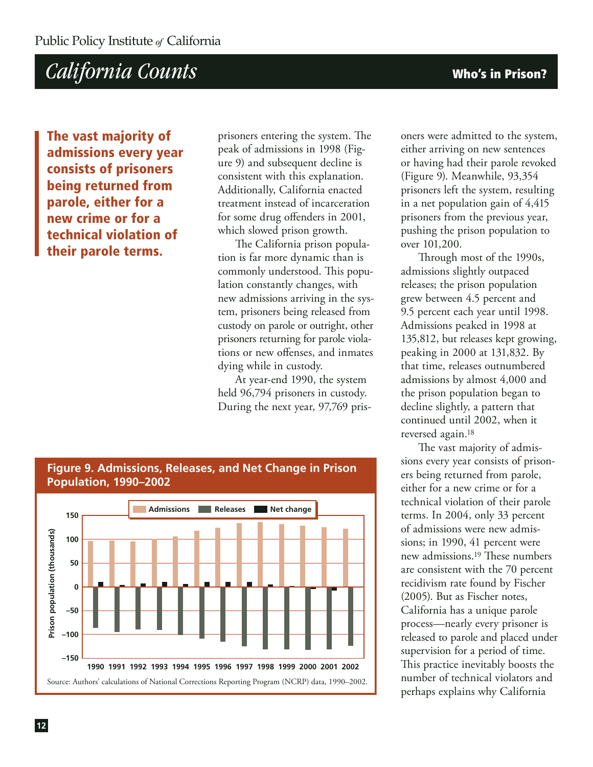**The vast majority of admissions every year consists of prisoners being returned from parole, either for a new crime or for a technical violation of their parole terms.**

prisoners entering the system. The peak of admissions in 1998 (Figure 9) and subsequent decline is consistent with this explanation. Additionally, California enacted treatment instead of incarceration for some drug offenders in 2001, which slowed prison growth.

The California prison population is far more dynamic than is commonly understood. This population constantly changes, with new admissions arriving in the system, prisoners being released from custody on parole or outright, other prisoners returning for parole violations or new offenses, and inmates dying while in custody.

At year-end 1990, the system held 96,794 prisoners in custody. During the next year, 97,769 prisoners were admitted to the system, either arriving on new sentences or having had their parole revoked (Figure 9). Meanwhile, 93,354 prisoners left the system, resulting in a net population gain of 4,415 prisoners from the previous year, pushing the prison population to over 101,200.

Through most of the 1990s, admissions slightly outpaced releases; the prison population grew between 4.5 percent and 9.5 percent each year until 1998. Admissions peaked in 1998 at 135,812, but releases kept growing, peaking in 2000 at 131,832. By that time, releases outnumbered admissions by almost 4,000 and the prison population began to decline slightly, a pattern that continued until 2002, when it reversed again.18

The vast majority of admissions every year consists of prisoners being returned from parole, either for a new crime or for a technical violation of their parole terms. In 2004, only 33 percent of admissions were new admissions; in 1990, 41 percent were new admissions.19 These numbers are consistent with the 70 percent recidivism rate found by Fischer (2005). But as Fischer notes, California has a unique parole process—nearly every prisoner is released to parole and placed under supervision for a period of time. This practice inevitably boosts the number of technical violators and perhaps explains why California



**Figure 9. Admissions, Releases, and Net Change in Prison**

Source: Authors' calculations of National Corrections Reporting Program (NCRP) data, 1990–2002.

**1990 1991 1992 1993 1994 1995 1996 1997 1998 2002 1999 2000 2001**

**–150**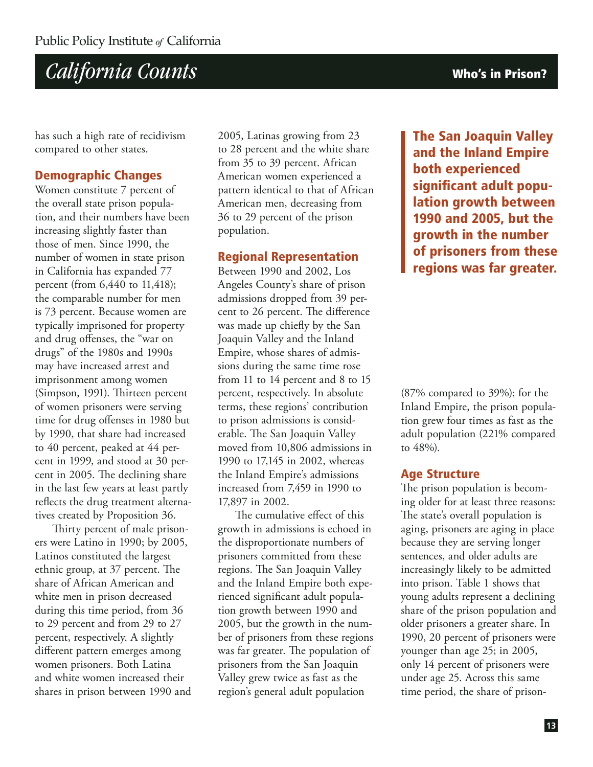

has such a high rate of recidivism compared to other states.

#### **Demographic Changes**

Women constitute 7 percent of the overall state prison population, and their numbers have been increasing slightly faster than those of men. Since 1990, the number of women in state prison in California has expanded 77 percent (from 6,440 to 11,418); the comparable number for men is 73 percent. Because women are typically imprisoned for property and drug offenses, the "war on drugs" of the 1980s and 1990s may have increased arrest and imprisonment among women (Simpson, 1991). Thirteen percent of women prisoners were serving time for drug offenses in 1980 but by 1990, that share had increased to 40 percent, peaked at 44 percent in 1999, and stood at 30 percent in 2005. The declining share in the last few years at least partly reflects the drug treatment alternatives created by Proposition 36.

Thirty percent of male prisoners were Latino in 1990; by 2005, Latinos constituted the largest ethnic group, at 37 percent. The share of African American and white men in prison decreased during this time period, from 36 to 29 percent and from 29 to 27 percent, respectively. A slightly different pattern emerges among women prisoners. Both Latina and white women increased their shares in prison between 1990 and

2005, Latinas growing from 23 to 28 percent and the white share from 35 to 39 percent. African American women experienced a pattern identical to that of African American men, decreasing from 36 to 29 percent of the prison population.

#### **Regional Representation**

Between 1990 and 2002, Los Angeles County's share of prison admissions dropped from 39 percent to 26 percent. The difference was made up chiefly by the San Joaquin Valley and the Inland Empire, whose shares of admissions during the same time rose from 11 to 14 percent and 8 to 15 percent, respectively. In absolute terms, these regions' contribution to prison admissions is considerable. The San Joaquin Valley moved from 10,806 admissions in 1990 to 17,145 in 2002, whereas the Inland Empire's admissions increased from 7,459 in 1990 to 17,897 in 2002.

The cumulative effect of this growth in admissions is echoed in the disproportionate numbers of prisoners committed from these regions. The San Joaquin Valley and the Inland Empire both experienced significant adult population growth between 1990 and 2005, but the growth in the number of prisoners from these regions was far greater. The population of prisoners from the San Joaquin Valley grew twice as fast as the region's general adult population

**The San Joaquin Valley and the Inland Empire both experienced significant adult population growth between 1990 and 2005, but the growth in the number of prisoners from these regions was far greater.**

(87% compared to 39%); for the Inland Empire, the prison population grew four times as fast as the adult population (221% compared to 48%).

#### **Age Structure**

The prison population is becoming older for at least three reasons: The state's overall population is aging, prisoners are aging in place because they are serving longer sentences, and older adults are increasingly likely to be admitted into prison. Table 1 shows that young adults represent a declining share of the prison population and older prisoners a greater share. In 1990, 20 percent of prisoners were younger than age 25; in 2005, only 14 percent of prisoners were under age 25. Across this same time period, the share of prison-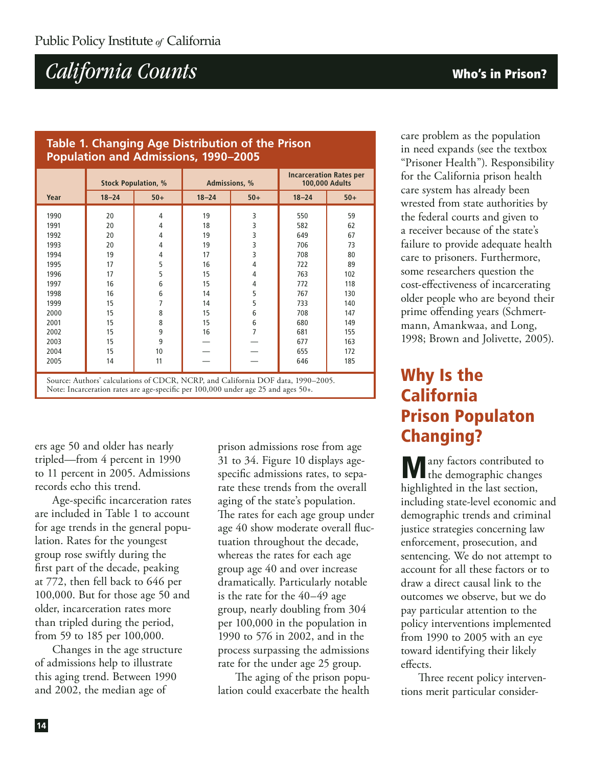#### **Table 1. Changing Age Distribution of the Prison Population and Admissions, 1990–2005**

|      | <b>Stock Population, %</b> |                | Admissions, % |                | <b>Incarceration Rates per</b><br>100,000 Adults |       |
|------|----------------------------|----------------|---------------|----------------|--------------------------------------------------|-------|
| Year | $18 - 24$                  | $50+$          | $18 - 24$     | $50+$          | $18 - 24$                                        | $50+$ |
| 1990 | 20                         | 4              | 19            | 3              | 550                                              | 59    |
| 1991 | 20                         | 4              | 18            | 3              | 582                                              | 62    |
| 1992 | 20                         | $\overline{4}$ | 19            | 3              | 649                                              | 67    |
| 1993 | 20                         | 4              | 19            | 3              | 706                                              | 73    |
| 1994 | 19                         | 4              | 17            | 3              | 708                                              | 80    |
| 1995 | 17                         | 5              | 16            | 4              | 722                                              | 89    |
| 1996 | 17                         | 5              | 15            | 4              | 763                                              | 102   |
| 1997 | 16                         | 6              | 15            | 4              | 772                                              | 118   |
| 1998 | 16                         | 6              | 14            | 5              | 767                                              | 130   |
| 1999 | 15                         | 7              | 14            | 5              | 733                                              | 140   |
| 2000 | 15                         | 8              | 15            | 6              | 708                                              | 147   |
| 2001 | 15                         | 8              | 15            | 6              | 680                                              | 149   |
| 2002 | 15                         | 9              | 16            | $\overline{7}$ | 681                                              | 155   |
| 2003 | 15                         | 9              |               |                | 677                                              | 163   |
| 2004 | 15                         | 10             |               |                | 655                                              | 172   |
| 2005 | 14                         | 11             |               |                | 646                                              | 185   |

Source: Authors' calculations of CDCR, NCRP, and California DOF data, 1990–2005. Note: Incarceration rates are age-specific per 100,000 under age 25 and ages 50+.

ers age 50 and older has nearly tripled—from 4 percent in 1990 to 11 percent in 2005. Admissions records echo this trend.

Age-specific incarceration rates are included in Table 1 to account for age trends in the general population. Rates for the youngest group rose swiftly during the first part of the decade, peaking at 772, then fell back to 646 per 100,000. But for those age 50 and older, incarceration rates more than tripled during the period, from 59 to 185 per 100,000.

Changes in the age structure of admissions help to illustrate this aging trend. Between 1990 and 2002, the median age of

prison admissions rose from age 31 to 34. Figure 10 displays agespecific admissions rates, to separate these trends from the overall aging of the state's population. The rates for each age group under age 40 show moderate overall fluctuation throughout the decade, whereas the rates for each age group age 40 and over increase dramatically. Particularly notable is the rate for the 40–49 age group, nearly doubling from 304 per 100,000 in the population in 1990 to 576 in 2002, and in the process surpassing the admissions rate for the under age 25 group.

The aging of the prison population could exacerbate the health care problem as the population in need expands (see the textbox "Prisoner Health"). Responsibility for the California prison health care system has already been wrested from state authorities by the federal courts and given to a receiver because of the state's failure to provide adequate health care to prisoners. Furthermore, some researchers question the cost-effectiveness of incarcerating older people who are beyond their prime offending years (Schmertmann, Amankwaa, and Long, 1998; Brown and Jolivette, 2005).

### **Why Is the California Prison Populaton Changing?**

**M**any factors contributed to the demographic changes highlighted in the last section, including state-level economic and demographic trends and criminal justice strategies concerning law enforcement, prosecution, and sentencing. We do not attempt to account for all these factors or to draw a direct causal link to the outcomes we observe, but we do pay particular attention to the policy interventions implemented from 1990 to 2005 with an eye toward identifying their likely effects.

Three recent policy interventions merit particular consider-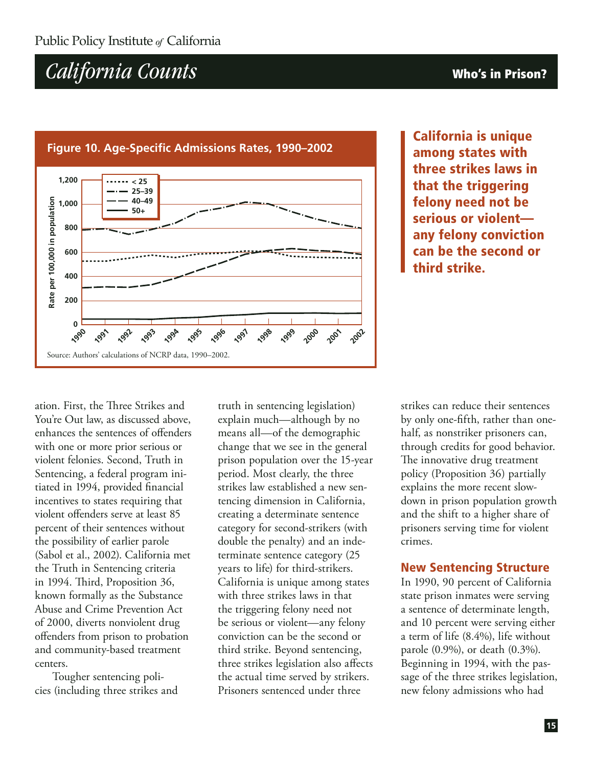

### **Figure 10. Age-Specific Admissions Rates, 1990–2002**

**California is unique among states with three strikes laws in that the triggering felony need not be serious or violent any felony conviction can be the second or third strike.**

ation. First, the Three Strikes and You're Out law, as discussed above, enhances the sentences of offenders with one or more prior serious or violent felonies. Second, Truth in Sentencing, a federal program initiated in 1994, provided financial incentives to states requiring that violent offenders serve at least 85 percent of their sentences without the possibility of earlier parole (Sabol et al., 2002). California met the Truth in Sentencing criteria in 1994. Third, Proposition 36, known formally as the Substance Abuse and Crime Prevention Act of 2000, diverts nonviolent drug offenders from prison to probation and community-based treatment centers.

Tougher sentencing policies (including three strikes and

truth in sentencing legislation) explain much—although by no means all—of the demographic change that we see in the general prison population over the 15-year period. Most clearly, the three strikes law established a new sentencing dimension in California, creating a determinate sentence category for second-strikers (with double the penalty) and an indeterminate sentence category (25 years to life) for third-strikers. California is unique among states with three strikes laws in that the triggering felony need not be serious or violent—any felony conviction can be the second or third strike. Beyond sentencing, three strikes legislation also affects the actual time served by strikers. Prisoners sentenced under three

strikes can reduce their sentences by only one-fifth, rather than onehalf, as nonstriker prisoners can, through credits for good behavior. The innovative drug treatment policy (Proposition 36) partially explains the more recent slowdown in prison population growth and the shift to a higher share of prisoners serving time for violent crimes.

#### **New Sentencing Structure**

In 1990, 90 percent of California state prison inmates were serving a sentence of determinate length, and 10 percent were serving either a term of life (8.4%), life without parole (0.9%), or death (0.3%). Beginning in 1994, with the passage of the three strikes legislation, new felony admissions who had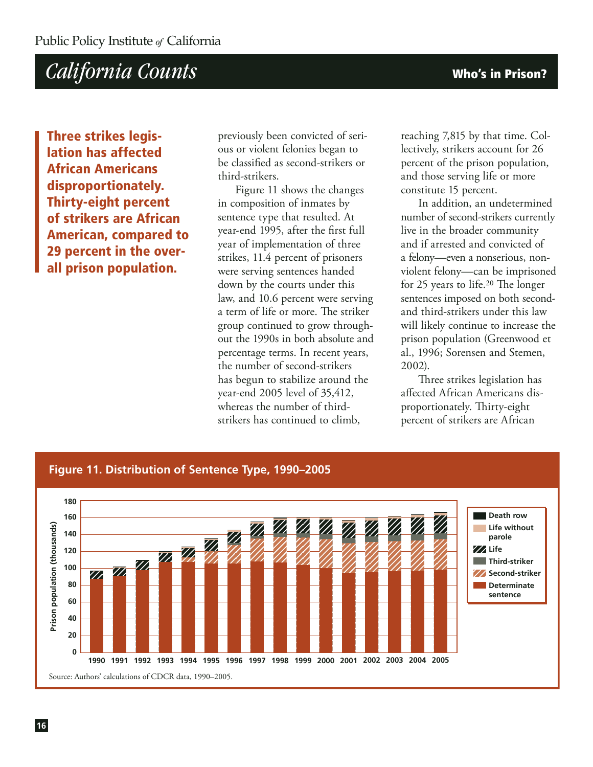**Three strikes legislation has affected African Americans disproportionately. Thirty-eight percent of strikers are African American, compared to 29 percent in the overall prison population.**

previously been convicted of serious or violent felonies began to be classified as second-strikers or third-strikers.

Figure 11 shows the changes in composition of inmates by sentence type that resulted. At year-end 1995, after the first full year of implementation of three strikes, 11.4 percent of prisoners were serving sentences handed down by the courts under this law, and 10.6 percent were serving a term of life or more. The striker group continued to grow throughout the 1990s in both absolute and percentage terms. In recent years, the number of second-strikers has begun to stabilize around the year-end 2005 level of 35,412, whereas the number of thirdstrikers has continued to climb,

reaching 7,815 by that time. Collectively, strikers account for 26 percent of the prison population, and those serving life or more constitute 15 percent.

In addition, an undetermined number of second-strikers currently live in the broader community and if arrested and convicted of a felony—even a nonserious, nonviolent felony—can be imprisoned for 25 years to life.20 The longer sentences imposed on both secondand third-strikers under this law will likely continue to increase the prison population (Greenwood et al., 1996; Sorensen and Stemen, 2002).

Three strikes legislation has affected African Americans disproportionately. Thirty-eight percent of strikers are African

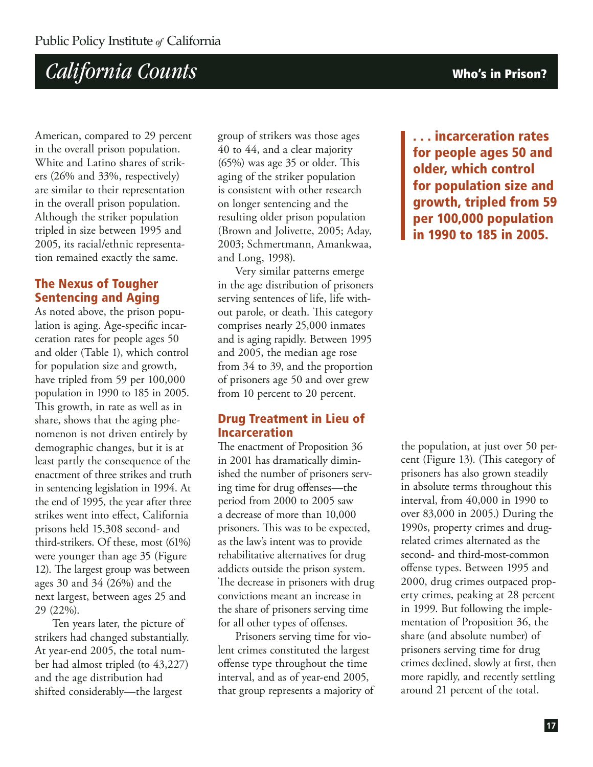American, compared to 29 percent in the overall prison population. White and Latino shares of strikers (26% and 33%, respectively) are similar to their representation in the overall prison population. Although the striker population tripled in size between 1995 and 2005, its racial/ethnic representation remained exactly the same.

#### **The Nexus of Tougher Sentencing and Aging**

As noted above, the prison population is aging. Age-specific incarceration rates for people ages 50 and older (Table 1), which control for population size and growth, have tripled from 59 per 100,000 population in 1990 to 185 in 2005. This growth, in rate as well as in share, shows that the aging phenomenon is not driven entirely by demographic changes, but it is at least partly the consequence of the enactment of three strikes and truth in sentencing legislation in 1994. At the end of 1995, the year after three strikes went into effect, California prisons held 15,308 second- and third-strikers. Of these, most (61%) were younger than age 35 (Figure 12). The largest group was between ages 30 and 34 (26%) and the next largest, between ages 25 and 29 (22%).

Ten years later, the picture of strikers had changed substantially. At year-end 2005, the total number had almost tripled (to 43,227) and the age distribution had shifted considerably—the largest

group of strikers was those ages 40 to 44, and a clear majority (65%) was age 35 or older. This aging of the striker population is consistent with other research on longer sentencing and the resulting older prison population (Brown and Jolivette, 2005; Aday, 2003; Schmertmann, Amankwaa, and Long, 1998).

Very similar patterns emerge in the age distribution of prisoners serving sentences of life, life without parole, or death. This category comprises nearly 25,000 inmates and is aging rapidly. Between 1995 and 2005, the median age rose from 34 to 39, and the proportion of prisoners age 50 and over grew from 10 percent to 20 percent.

#### **Drug Treatment in Lieu of Incarceration**

The enactment of Proposition 36 in 2001 has dramatically diminished the number of prisoners serving time for drug offenses—the period from 2000 to 2005 saw a decrease of more than 10,000 prisoners. This was to be expected, as the law's intent was to provide rehabilitative alternatives for drug addicts outside the prison system. The decrease in prisoners with drug convictions meant an increase in the share of prisoners serving time for all other types of offenses.

Prisoners serving time for violent crimes constituted the largest offense type throughout the time interval, and as of year-end 2005, that group represents a majority of

**. . . incarceration rates for people ages 50 and older, which control for population size and growth, tripled from 59 per 100,000 population in 1990 to 185 in 2005.**

the population, at just over 50 percent (Figure 13). (This category of prisoners has also grown steadily in absolute terms throughout this interval, from 40,000 in 1990 to over 83,000 in 2005.) During the 1990s, property crimes and drugrelated crimes alternated as the second- and third-most-common offense types. Between 1995 and 2000, drug crimes outpaced property crimes, peaking at 28 percent in 1999. But following the implementation of Proposition 36, the share (and absolute number) of prisoners serving time for drug crimes declined, slowly at first, then more rapidly, and recently settling around 21 percent of the total.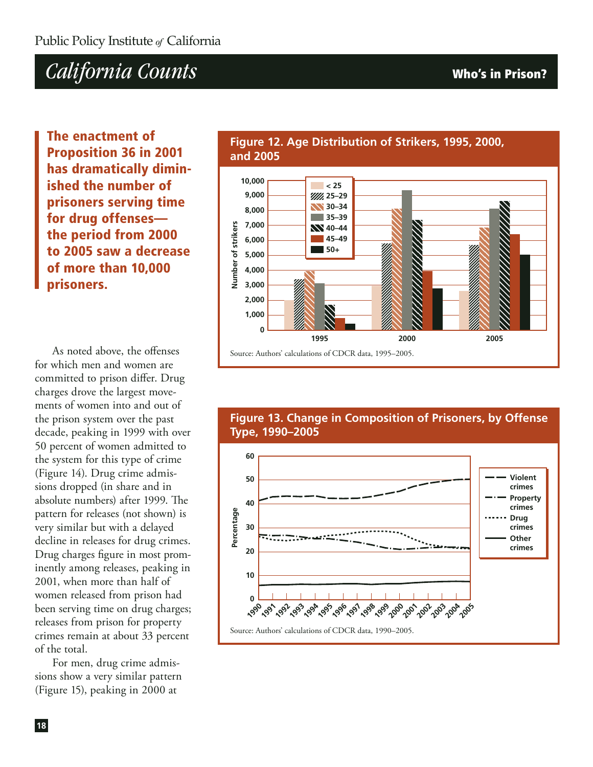**The enactment of Proposition 36 in 2001 has dramatically diminished the number of prisoners serving time for drug offenses the period from 2000 to 2005 saw a decrease of more than 10,000 prisoners.**

As noted above, the offenses for which men and women are committed to prison differ. Drug charges drove the largest movements of women into and out of the prison system over the past decade, peaking in 1999 with over 50 percent of women admitted to the system for this type of crime (Figure 14). Drug crime admissions dropped (in share and in absolute numbers) after 1999. The pattern for releases (not shown) is very similar but with a delayed decline in releases for drug crimes. Drug charges figure in most prominently among releases, peaking in 2001, when more than half of women released from prison had been serving time on drug charges; releases from prison for property crimes remain at about 33 percent of the total.

For men, drug crime admissions show a very similar pattern (Figure 15), peaking in 2000 at

#### **Figure 12. Age Distribution of Strikers, 1995, 2000, and 2005**

**0**

Source: Authors' calculations of CDCR data, 1995–2005.

 $\blacksquare$  < 25 **25–29 30–34 35–39 40–44 45–49 50+**

**Number of strikers**

Jumber of strikers

**8,000**

**9,000 10,000**

**6,000 5,000 4,000 3,000 2,000 1,000**

**7,000**

**Figure 13. Change in Composition of Prisoners, by Offense Type, 1990–2005**

**1995 2000 2005**

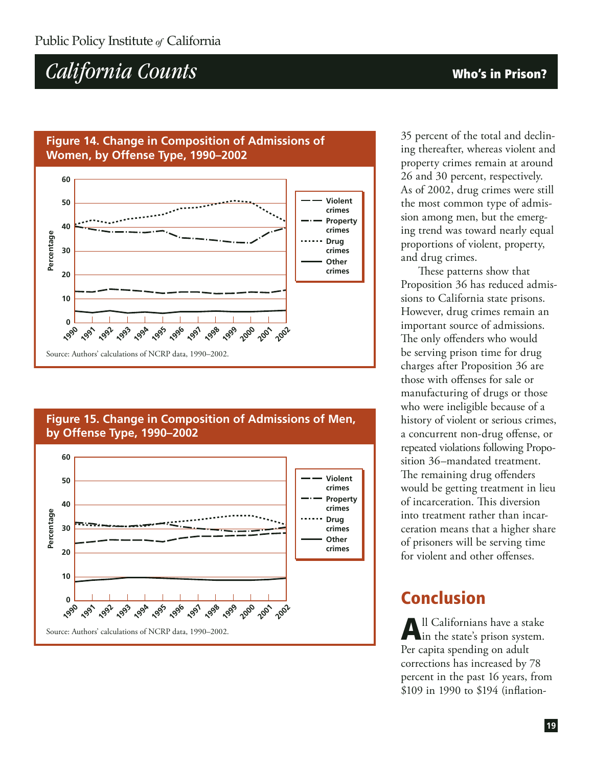#### **Figure 14. Change in Composition of Admissions of Women, by Offense Type, 1990–2002**



#### **Figure 15. Change in Composition of Admissions of Men, by Offense Type, 1990–2002**



35 percent of the total and declining thereafter, whereas violent and property crimes remain at around 26 and 30 percent, respectively. As of 2002, drug crimes were still the most common type of admission among men, but the emerging trend was toward nearly equal proportions of violent, property, and drug crimes.

These patterns show that Proposition 36 has reduced admissions to California state prisons. However, drug crimes remain an important source of admissions. The only offenders who would be serving prison time for drug charges after Proposition 36 are those with offenses for sale or manufacturing of drugs or those who were ineligible because of a history of violent or serious crimes, a concurrent non-drug offense, or repeated violations following Proposition 36–mandated treatment. The remaining drug offenders would be getting treatment in lieu of incarceration. This diversion into treatment rather than incarceration means that a higher share of prisoners will be serving time for violent and other offenses.

### **Conclusion**

**A**ll Californians have a stake in the state's prison system. Per capita spending on adult corrections has increased by 78 percent in the past 16 years, from \$109 in 1990 to \$194 (inflation-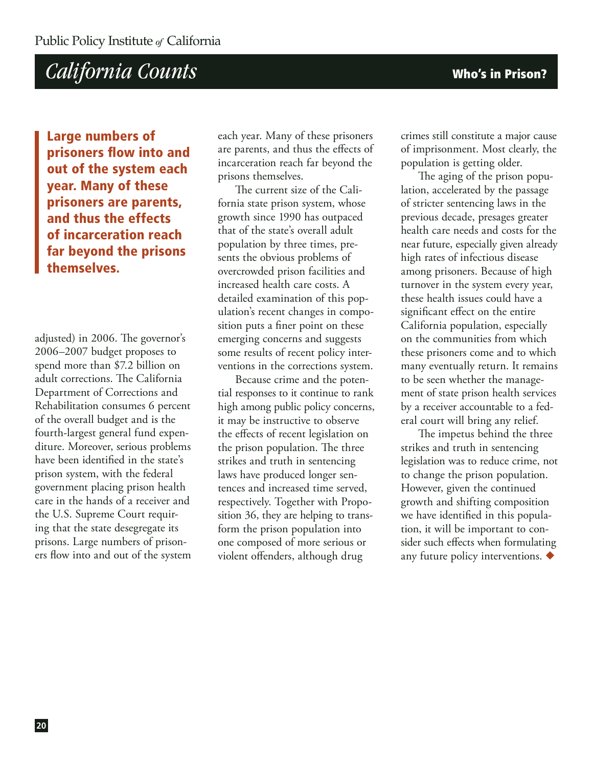**Large numbers of prisoners flow into and out of the system each year. Many of these prisoners are parents, and thus the effects of incarceration reach far beyond the prisons themselves.**

adjusted) in 2006. The governor's 2006–2007 budget proposes to spend more than \$7.2 billion on adult corrections. The California Department of Corrections and Rehabilitation consumes 6 percent of the overall budget and is the fourth-largest general fund expenditure. Moreover, serious problems have been identified in the state's prison system, with the federal government placing prison health care in the hands of a receiver and the U.S. Supreme Court requiring that the state desegregate its prisons. Large numbers of prisoners flow into and out of the system each year. Many of these prisoners are parents, and thus the effects of incarceration reach far beyond the prisons themselves.

The current size of the California state prison system, whose growth since 1990 has outpaced that of the state's overall adult population by three times, presents the obvious problems of overcrowded prison facilities and increased health care costs. A detailed examination of this population's recent changes in composition puts a finer point on these emerging concerns and suggests some results of recent policy interventions in the corrections system.

Because crime and the potential responses to it continue to rank high among public policy concerns, it may be instructive to observe the effects of recent legislation on the prison population. The three strikes and truth in sentencing laws have produced longer sentences and increased time served, respectively. Together with Proposition 36, they are helping to transform the prison population into one composed of more serious or violent offenders, although drug

crimes still constitute a major cause of imprisonment. Most clearly, the population is getting older.

The aging of the prison population, accelerated by the passage of stricter sentencing laws in the previous decade, presages greater health care needs and costs for the near future, especially given already high rates of infectious disease among prisoners. Because of high turnover in the system every year, these health issues could have a significant effect on the entire California population, especially on the communities from which these prisoners come and to which many eventually return. It remains to be seen whether the management of state prison health services by a receiver accountable to a federal court will bring any relief.

The impetus behind the three strikes and truth in sentencing legislation was to reduce crime, not to change the prison population. However, given the continued growth and shifting composition we have identified in this population, it will be important to consider such effects when formulating any future policy interventions.  $\blacklozenge$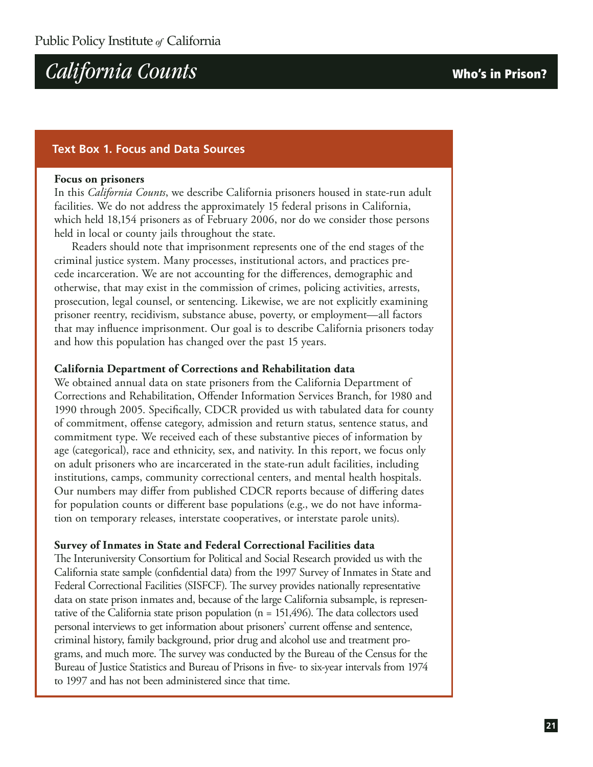#### **Text Box 1. Focus and Data Sources**

#### **Focus on prisoners**

In this *California Counts*, we describe California prisoners housed in state-run adult facilities. We do not address the approximately 15 federal prisons in California, which held 18,154 prisoners as of February 2006, nor do we consider those persons held in local or county jails throughout the state.

Readers should note that imprisonment represents one of the end stages of the criminal justice system. Many processes, institutional actors, and practices precede incarceration. We are not accounting for the differences, demographic and otherwise, that may exist in the commission of crimes, policing activities, arrests, prosecution, legal counsel, or sentencing. Likewise, we are not explicitly examining prisoner reentry, recidivism, substance abuse, poverty, or employment—all factors that may influence imprisonment. Our goal is to describe California prisoners today and how this population has changed over the past 15 years.

#### **California Department of Corrections and Rehabilitation data**

We obtained annual data on state prisoners from the California Department of Corrections and Rehabilitation, Offender Information Services Branch, for 1980 and 1990 through 2005. Specifically, CDCR provided us with tabulated data for county of commitment, offense category, admission and return status, sentence status, and commitment type. We received each of these substantive pieces of information by age (categorical), race and ethnicity, sex, and nativity. In this report, we focus only on adult prisoners who are incarcerated in the state-run adult facilities, including institutions, camps, community correctional centers, and mental health hospitals. Our numbers may differ from published CDCR reports because of differing dates for population counts or different base populations (e.g., we do not have information on temporary releases, interstate cooperatives, or interstate parole units).

#### **Survey of Inmates in State and Federal Correctional Facilities data**

The Interuniversity Consortium for Political and Social Research provided us with the California state sample (confidential data) from the 1997 Survey of Inmates in State and Federal Correctional Facilities (SISFCF). The survey provides nationally representative data on state prison inmates and, because of the large California subsample, is representative of the California state prison population (n = 151,496). The data collectors used personal interviews to get information about prisoners' current offense and sentence, criminal history, family background, prior drug and alcohol use and treatment programs, and much more. The survey was conducted by the Bureau of the Census for the Bureau of Justice Statistics and Bureau of Prisons in five- to six-year intervals from 1974 to 1997 and has not been administered since that time.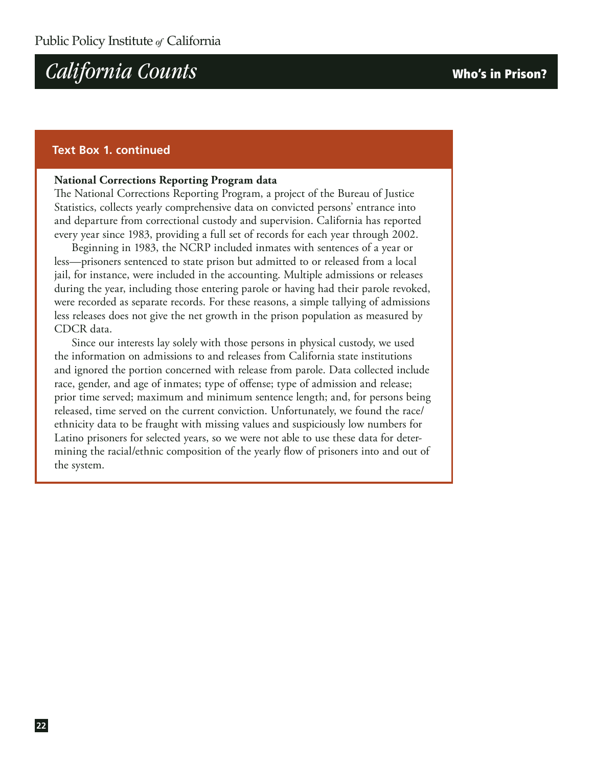#### **Text Box 1. continued**

#### **National Corrections Reporting Program data**

The National Corrections Reporting Program, a project of the Bureau of Justice Statistics, collects yearly comprehensive data on convicted persons' entrance into and departure from correctional custody and supervision. California has reported every year since 1983, providing a full set of records for each year through 2002.

Beginning in 1983, the NCRP included inmates with sentences of a year or less—prisoners sentenced to state prison but admitted to or released from a local jail, for instance, were included in the accounting. Multiple admissions or releases during the year, including those entering parole or having had their parole revoked, were recorded as separate records. For these reasons, a simple tallying of admissions less releases does not give the net growth in the prison population as measured by CDCR data.

Since our interests lay solely with those persons in physical custody, we used the information on admissions to and releases from California state institutions and ignored the portion concerned with release from parole. Data collected include race, gender, and age of inmates; type of offense; type of admission and release; prior time served; maximum and minimum sentence length; and, for persons being released, time served on the current conviction. Unfortunately, we found the race/ ethnicity data to be fraught with missing values and suspiciously low numbers for Latino prisoners for selected years, so we were not able to use these data for determining the racial/ethnic composition of the yearly flow of prisoners into and out of the system.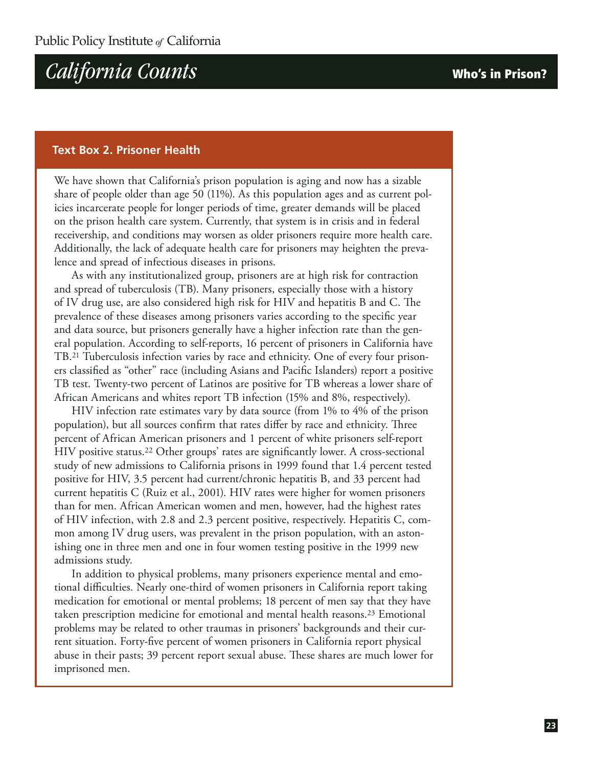#### **Text Box 2. Prisoner Health**

We have shown that California's prison population is aging and now has a sizable share of people older than age 50 (11%). As this population ages and as current policies incarcerate people for longer periods of time, greater demands will be placed on the prison health care system. Currently, that system is in crisis and in federal receivership, and conditions may worsen as older prisoners require more health care. Additionally, the lack of adequate health care for prisoners may heighten the prevalence and spread of infectious diseases in prisons.

As with any institutionalized group, prisoners are at high risk for contraction and spread of tuberculosis (TB). Many prisoners, especially those with a history of IV drug use, are also considered high risk for HIV and hepatitis B and C. The prevalence of these diseases among prisoners varies according to the specific year and data source, but prisoners generally have a higher infection rate than the general population. According to self-reports, 16 percent of prisoners in California have TB.21 Tuberculosis infection varies by race and ethnicity. One of every four prisoners classified as "other" race (including Asians and Pacific Islanders) report a positive TB test. Twenty-two percent of Latinos are positive for TB whereas a lower share of African Americans and whites report TB infection (15% and 8%, respectively).

HIV infection rate estimates vary by data source (from 1% to 4% of the prison population), but all sources confirm that rates differ by race and ethnicity. Three percent of African American prisoners and 1 percent of white prisoners self-report HIV positive status.22 Other groups' rates are significantly lower. A cross-sectional study of new admissions to California prisons in 1999 found that 1.4 percent tested positive for HIV, 3.5 percent had current/chronic hepatitis B, and 33 percent had current hepatitis C (Ruiz et al., 2001). HIV rates were higher for women prisoners than for men. African American women and men, however, had the highest rates of HIV infection, with 2.8 and 2.3 percent positive, respectively. Hepatitis C, common among IV drug users, was prevalent in the prison population, with an astonishing one in three men and one in four women testing positive in the 1999 new admissions study.

In addition to physical problems, many prisoners experience mental and emotional difficulties. Nearly one-third of women prisoners in California report taking medication for emotional or mental problems; 18 percent of men say that they have taken prescription medicine for emotional and mental health reasons.23 Emotional problems may be related to other traumas in prisoners' backgrounds and their current situation. Forty-five percent of women prisoners in California report physical abuse in their pasts; 39 percent report sexual abuse. These shares are much lower for imprisoned men.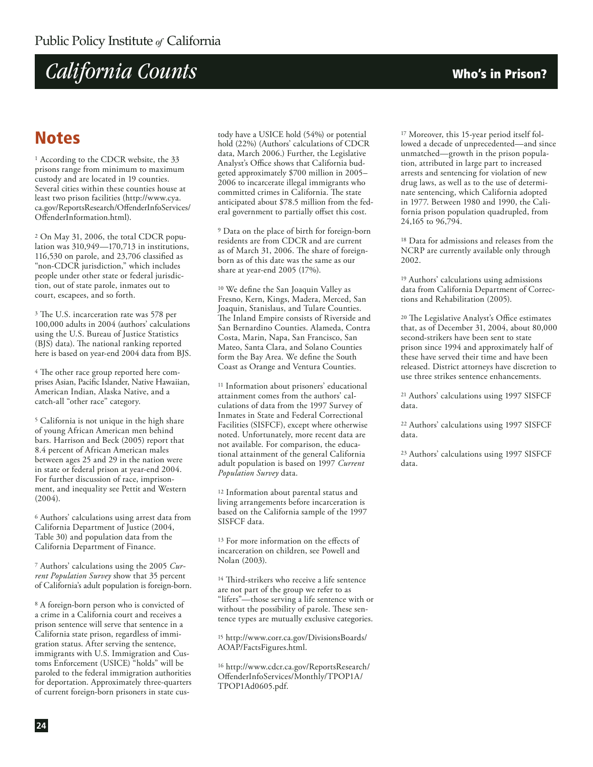### **Notes**

<sup>1</sup> According to the CDCR website, the 33 prisons range from minimum to maximum custody and are located in 19 counties. Several cities within these counties house at least two prison facilities (http://www.cya. ca.gov/ReportsResearch/OffenderInfoServices/ OffenderInformation.html).

2 On May 31, 2006, the total CDCR population was 310,949—170,713 in institutions, 116,530 on parole, and 23,706 classified as "non-CDCR jurisdiction," which includes people under other state or federal jurisdiction, out of state parole, inmates out to court, escapees, and so forth.

3 The U.S. incarceration rate was 578 per 100,000 adults in 2004 (authors' calculations using the U.S. Bureau of Justice Statistics (BJS) data). The national ranking reported here is based on year-end 2004 data from BJS.

4 The other race group reported here comprises Asian, Pacific Islander, Native Hawaiian, American Indian, Alaska Native, and a catch-all "other race" category.

5 California is not unique in the high share of young African American men behind bars. Harrison and Beck (2005) report that 8.4 percent of African American males between ages 25 and 29 in the nation were in state or federal prison at year-end 2004. For further discussion of race, imprisonment, and inequality see Pettit and Western  $(2004).$ 

6 Authors' calculations using arrest data from California Department of Justice (2004, Table 30) and population data from the California Department of Finance.

7 Authors' calculations using the 2005 *Current Population Survey* show that 35 percent of California's adult population is foreign-born.

8 A foreign-born person who is convicted of a crime in a California court and receives a prison sentence will serve that sentence in a California state prison, regardless of immigration status. After serving the sentence, immigrants with U.S. Immigration and Customs Enforcement (USICE) "holds" will be paroled to the federal immigration authorities for deportation. Approximately three-quarters of current foreign-born prisoners in state custody have a USICE hold (54%) or potential hold (22%) (Authors' calculations of CDCR data, March 2006.) Further, the Legislative Analyst's Office shows that California budgeted approximately \$700 million in 2005– 2006 to incarcerate illegal immigrants who committed crimes in California. The state anticipated about \$78.5 million from the federal government to partially offset this cost.

9 Data on the place of birth for foreign-born residents are from CDCR and are current as of March 31, 2006. The share of foreignborn as of this date was the same as our share at year-end 2005 (17%).

10 We define the San Joaquin Valley as Fresno, Kern, Kings, Madera, Merced, San Joaquin, Stanislaus, and Tulare Counties. The Inland Empire consists of Riverside and San Bernardino Counties. Alameda, Contra Costa, Marin, Napa, San Francisco, San Mateo, Santa Clara, and Solano Counties form the Bay Area. We define the South Coast as Orange and Ventura Counties.

11 Information about prisoners' educational attainment comes from the authors' calculations of data from the 1997 Survey of Inmates in State and Federal Correctional Facilities (SISFCF), except where otherwise noted. Unfortunately, more recent data are not available. For comparison, the educational attainment of the general California adult population is based on 1997 *Current Population Survey* data.

12 Information about parental status and living arrangements before incarceration is based on the California sample of the 1997 SISFCF data.

13 For more information on the effects of incarceration on children, see Powell and Nolan (2003).

14 Third-strikers who receive a life sentence are not part of the group we refer to as "lifers"—those serving a life sentence with or without the possibility of parole. These sentence types are mutually exclusive categories.

15 http://www.corr.ca.gov/DivisionsBoards/ AOAP/FactsFigures.html.

16 http://www.cdcr.ca.gov/ReportsResearch/ OffenderInfoServices/Monthly/TPOP1A/ TPOP1Ad0605.pdf.

17 Moreover, this 15-year period itself followed a decade of unprecedented—and since unmatched—growth in the prison population, attributed in large part to increased arrests and sentencing for violation of new drug laws, as well as to the use of determinate sentencing, which California adopted in 1977. Between 1980 and 1990, the California prison population quadrupled, from 24,165 to 96,794.

18 Data for admissions and releases from the NCRP are currently available only through 2002.

19 Authors' calculations using admissions data from California Department of Corrections and Rehabilitation (2005).

20 The Legislative Analyst's Office estimates that, as of December 31, 2004, about 80,000 second-strikers have been sent to state prison since 1994 and approximately half of these have served their time and have been released. District attorneys have discretion to use three strikes sentence enhancements.

21 Authors' calculations using 1997 SISFCF data.

22 Authors' calculations using 1997 SISFCF data.

23 Authors' calculations using 1997 SISFCF data.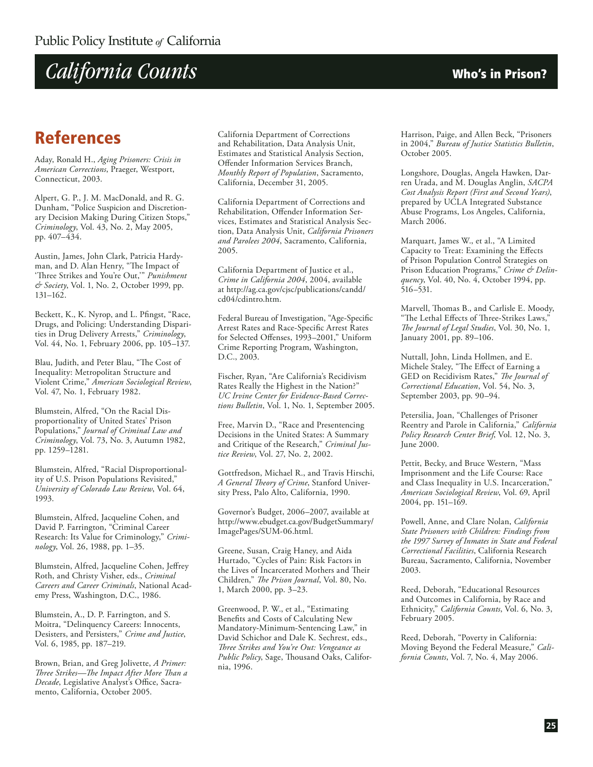

### **References**

Aday, Ronald H., *Aging Prisoners: Crisis in American Corrections*, Praeger, Westport, Connecticut, 2003.

Alpert, G. P., J. M. MacDonald, and R. G. Dunham, "Police Suspicion and Discretionary Decision Making During Citizen Stops," *Criminology*, Vol. 43, No. 2, May 2005, pp. 407–434.

Austin, James, John Clark, Patricia Hardyman, and D. Alan Henry, "The Impact of 'Three Strikes and You're Out,'" *Punishment & Society*, Vol. 1, No. 2, October 1999, pp. 131–162.

Beckett, K., K. Nyrop, and L. Pfingst, "Race, Drugs, and Policing: Understanding Disparities in Drug Delivery Arrests," *Criminology*, Vol. 44, No. 1, February 2006, pp. 105–137.

Blau, Judith, and Peter Blau, "The Cost of Inequality: Metropolitan Structure and Violent Crime," *American Sociological Review*, Vol. 47, No. 1, February 1982.

Blumstein, Alfred, "On the Racial Disproportionality of United States' Prison Populations," *Journal of Criminal Law and Criminology*, Vol. 73, No. 3, Autumn 1982, pp. 1259–1281.

Blumstein, Alfred, "Racial Disproportionality of U.S. Prison Populations Revisited," *University of Colorado Law Review*, Vol. 64, 1993.

Blumstein, Alfred, Jacqueline Cohen, and David P. Farrington, "Criminal Career Research: Its Value for Criminology," *Criminology*, Vol. 26, 1988, pp. 1–35.

Blumstein, Alfred, Jacqueline Cohen, Jeffrey Roth, and Christy Visher, eds., *Criminal Careers and Career Criminals*, National Academy Press, Washington, D.C., 1986.

Blumstein, A., D. P. Farrington, and S. Moitra, "Delinquency Careers: Innocents, Desisters, and Persisters," *Crime and Justice*, Vol. 6, 1985, pp. 187–219.

Brown, Brian, and Greg Jolivette, *A Primer: Three Strikes—The Impact After More Than a Decade*, Legislative Analyst's Office, Sacramento, California, October 2005.

California Department of Corrections and Rehabilitation, Data Analysis Unit, Estimates and Statistical Analysis Section, Offender Information Services Branch, *Monthly Report of Population*, Sacramento, California, December 31, 2005.

California Department of Corrections and Rehabilitation, Offender Information Services, Estimates and Statistical Analysis Section, Data Analysis Unit, *California Prisoners and Parolees 2004*, Sacramento, California, 2005.

California Department of Justice et al., *Crime in California 2004*, 2004, available at http://ag.ca.gov/cjsc/publications/candd/ cd04/cdintro.htm.

Federal Bureau of Investigation, "Age-Specific Arrest Rates and Race-Specific Arrest Rates for Selected Offenses, 1993–2001," Uniform Crime Reporting Program, Washington, D.C., 2003.

Fischer, Ryan, "Are California's Recidivism Rates Really the Highest in the Nation?" *UC Irvine Center for Evidence-Based Corrections Bulletin*, Vol. 1, No. 1, September 2005.

Free, Marvin D., "Race and Presentencing Decisions in the United States: A Summary and Critique of the Research," *Criminal Justice Review*, Vol. 27, No. 2, 2002.

Gottfredson, Michael R., and Travis Hirschi, *A General Theory of Crime*, Stanford University Press, Palo Alto, California, 1990.

Governor's Budget, 2006–2007, available at http://www.ebudget.ca.gov/BudgetSummary/ ImagePages/SUM-06.html.

Greene, Susan, Craig Haney, and Aida Hurtado, "Cycles of Pain: Risk Factors in the Lives of Incarcerated Mothers and Their Children," *The Prison Journal*, Vol. 80, No. 1, March 2000, pp. 3–23.

Greenwood, P. W., et al., "Estimating Benefits and Costs of Calculating New Mandatory-Minimum-Sentencing Law," in David Schichor and Dale K. Sechrest, eds., *Three Strikes and You're Out: Vengeance as Public Policy*, Sage, Thousand Oaks, California, 1996.

Harrison, Paige, and Allen Beck, "Prisoners in 2004," *Bureau of Justice Statistics Bulletin*, October 2005.

Longshore, Douglas, Angela Hawken, Darren Urada, and M. Douglas Anglin, *SACPA Cost Analysis Report (First and Second Years)*, prepared by UCLA Integrated Substance Abuse Programs, Los Angeles, California, March 2006.

Marquart, James W., et al., "A Limited Capacity to Treat: Examining the Effects of Prison Population Control Strategies on Prison Education Programs," *Crime & Delinquency*, Vol. 40, No. 4, October 1994, pp. 516–531.

Marvell, Thomas B., and Carlisle E. Moody, "The Lethal Effects of Three-Strikes Laws," *The Journal of Legal Studies*, Vol. 30, No. 1, January 2001, pp. 89–106.

Nuttall, John, Linda Hollmen, and E. Michele Staley, "The Effect of Earning a GED on Recidivism Rates," *The Journal of Correctional Education*, Vol. 54, No. 3, September 2003, pp. 90–94.

Petersilia, Joan, "Challenges of Prisoner Reentry and Parole in California," *California Policy Research Center Brief*, Vol. 12, No. 3, June 2000.

Pettit, Becky, and Bruce Western, "Mass Imprisonment and the Life Course: Race and Class Inequality in U.S. Incarceration," *American Sociological Review*, Vol. 69, April 2004, pp. 151–169.

Powell, Anne, and Clare Nolan, *California State Prisoners with Children: Findings from the 1997 Survey of Inmates in State and Federal Correctional Facilities*, California Research Bureau, Sacramento, California, November 2003.

Reed, Deborah, "Educational Resources and Outcomes in California, by Race and Ethnicity," *California Counts*, Vol. 6, No. 3, February 2005.

Reed, Deborah, "Poverty in California: Moving Beyond the Federal Measure," *California Counts*, Vol. 7, No. 4, May 2006.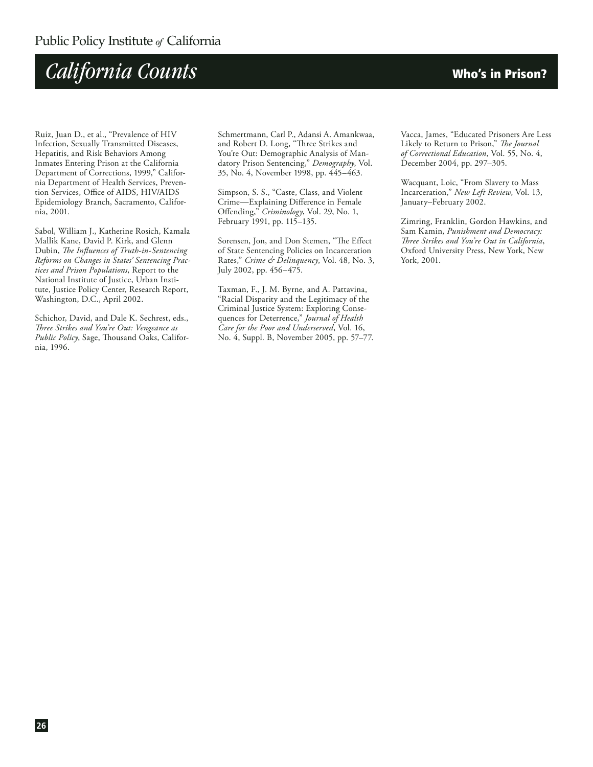

Ruiz, Juan D., et al., "Prevalence of HIV Infection, Sexually Transmitted Diseases, Hepatitis, and Risk Behaviors Among Inmates Entering Prison at the California Department of Corrections, 1999," California Department of Health Services, Prevention Services, Office of AIDS, HIV/AIDS Epidemiology Branch, Sacramento, California, 2001.

Sabol, William J., Katherine Rosich, Kamala Mallik Kane, David P. Kirk, and Glenn Dubin, *The Influences of Truth-in-Sentencing Reforms on Changes in States' Sentencing Practices and Prison Populations*, Report to the National Institute of Justice, Urban Institute, Justice Policy Center, Research Report, Washington, D.C., April 2002.

Schichor, David, and Dale K. Sechrest, eds., *Three Strikes and You're Out: Vengeance as Public Policy*, Sage, Thousand Oaks, California, 1996.

Schmertmann, Carl P., Adansi A. Amankwaa, and Robert D. Long, "Three Strikes and You're Out: Demographic Analysis of Mandatory Prison Sentencing," *Demography*, Vol. 35, No. 4, November 1998, pp. 445–463.

Simpson, S. S., "Caste, Class, and Violent Crime—Explaining Difference in Female Offending," *Criminology*, Vol. 29, No. 1, February 1991, pp. 115–135.

Sorensen, Jon, and Don Stemen, "The Effect of State Sentencing Policies on Incarceration Rates," *Crime & Delinquency*, Vol. 48, No. 3, July 2002, pp. 456–475.

Taxman, F., J. M. Byrne, and A. Pattavina, "Racial Disparity and the Legitimacy of the Criminal Justice System: Exploring Consequences for Deterrence," *Journal of Health Care for the Poor and Underserved*, Vol. 16, No. 4, Suppl. B, November 2005, pp. 57–77.

Vacca, James, "Educated Prisoners Are Less Likely to Return to Prison," *The Journal of Correctional Education*, Vol. 55, No. 4, December 2004, pp. 297–305.

Wacquant, Loic, "From Slavery to Mass Incarceration," *New Left Review*, Vol. 13, January–February 2002.

Zimring, Franklin, Gordon Hawkins, and Sam Kamin, *Punishment and Democracy: Three Strikes and You're Out in California*, Oxford University Press, New York, New York, 2001.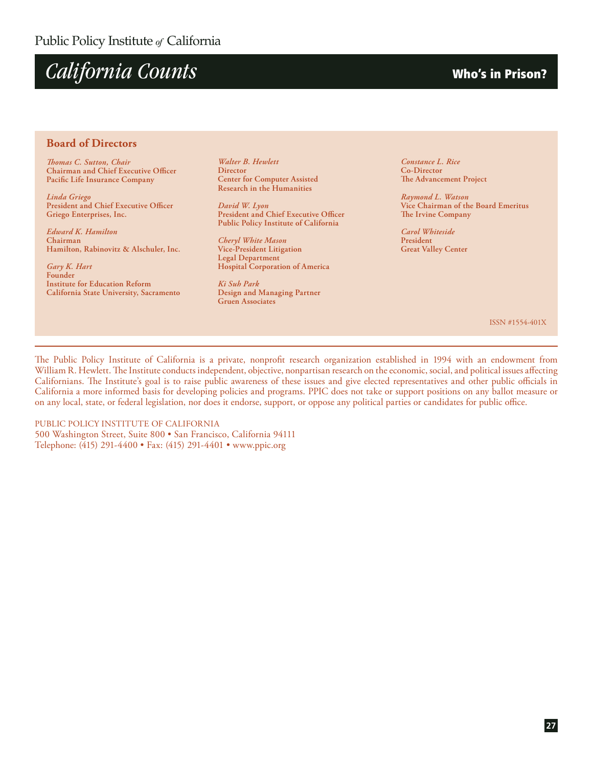

#### **Board of Directors**

*Thomas C. Sutton, Chair* **Chairman and Chief Executive Officer Pacific Life Insurance Company**

*Linda Griego* **President and Chief Executive Officer Griego Enterprises, Inc.** 

*Edward K. Hamilton* **Chairman Hamilton, Rabinovitz & Alschuler, Inc.**

*Gary K. Hart* **Founder Institute for Education Reform California State University, Sacramento**

*Walter B. Hewlett* **Director Center for Computer Assisted Research in the Humanities**

*David W. Lyon* **President and Chief Executive Officer Public Policy Institute of California**

*Cheryl White Mason* **Vice-President Litigation Legal Department Hospital Corporation of America**

*Ki Suh Park* **Design and Managing Partner Gruen Associates**

*Constance L. Rice* **Co-Director The Advancement Project**

*Raymond L. Watson* **Vice Chairman of the Board Emeritus The Irvine Company**

*Carol Whiteside* **President Great Valley Center**

ISSN #1554-401X

The Public Policy Institute of California is a private, nonprofit research organization established in 1994 with an endowment from William R. Hewlett. The Institute conducts independent, objective, nonpartisan research on the economic, social, and political issues affecting Californians. The Institute's goal is to raise public awareness of these issues and give elected representatives and other public officials in California a more informed basis for developing policies and programs. PPIC does not take or support positions on any ballot measure or on any local, state, or federal legislation, nor does it endorse, support, or oppose any political parties or candidates for public office.

PUBLIC POLICY INSTITUTE OF CALIFORNIA 500 Washington Street, Suite 800 • San Francisco, California 94111 Telephone: (415) 291-4400 • Fax: (415) 291-4401 • www.ppic.org